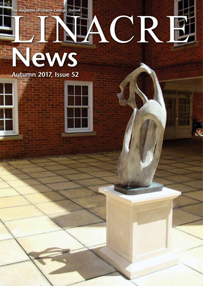**The magazine of Linacre College, Oxford**

# **Autumn 2017, Issue 52 HACR News**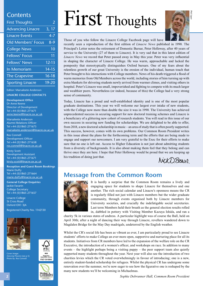#### **Contents**

| <b>First Thoughts</b>     | $\overline{2}$      |
|---------------------------|---------------------|
| <b>Advancing Linacre</b>  | $\overline{3}$ , 17 |
| <b>Linacre Events</b>     | $4 - 7$             |
| <b>Old Members' Focus</b> | $8-9$               |
| <b>College News</b>       | 10                  |
| <b>Fellows' Focus</b>     | 11                  |
| <b>Fellows' News</b>      | $12 - 13$           |
| In Memoriam               | $14-15$             |
| <b>The Grapevine</b>      | $16 - 18$           |
| <b>Sporting Linacre</b>   | 19-20               |

Editor: Marsaleete Anderson **LINACRE COLLEGE CONTACTS**

**Development Office** Dr Anne Keene Director of Development Tel +44 (0)1865 271671 anne.keene@linacre.ox.ac.uk

Marsaleete Anderson Alumni Relations Officer Tel +44 (0)1865 271673 marsaleete.anderson@linacre.ox.ac.uk

Ros Connell Development Officer Tel +44 (0)1865 271658 ros.connell@linacre.ox.ac.uk

Kirsty Scott Development Assistant Tel +44 (0)1865 271671 kirsty.scott@linacre.ox.ac.uk

**Reception and Guest Room Bookings** Marie Duffy Tel +44 (0)1865 271664 marie.duffy@linacre.ox.ac.uk

**General College Enquiries** Jackie Favarin College Secretary Tel +44 (0)1865 271657

Linacre College St Cross Road Oxford OX1 3JA

Registered Charity No. 1142130





Cover image:<br>*Dancing Phoenix* (see p 5)<br>Photo by: Ros Connell





# First Thoughts



Those of you who follow the Linacre College Facebook page will have

recently seen a reproduction of the first edition of *Linacre News* published in 1990. The Principal's Letter notes the retirement of Domestic Bursar, Peter Holloway, after 40 years of service to the University (27 of them to Linacre). It is very sad that in this latest edition of *Linacre News* we record that Peter passed away in May this year. Peter was very influential in shaping the character of Linacre College. He was warm, approachable and lacked the pomposity that stereotypically distinguishes Oxford bursars. One of my fears about the relentless growth of our great University is the erosion of the individual, human touch that Peter brought to his interactions with College members. News of his death triggered a flood of warm memories from Old Members across the world, including stories of him turning up with extra blankets for shivering students newly arrived from warmer climes, and visiting others in hospital. Peter's Linacre was small, impoverished and fighting to compete with its much larger and wealthier peers. Nevertheless (or indeed, because of this) the College had a very strong sense of community.

Today, Linacre has a proud and well-established identity and is one of the most popular graduate destinations. This year we will welcome our largest ever intake of new students, with the College now more than double the size it was in 1990. The University has achieved unprecedented success in securing support for new doctoral training schemes and Linacre is a beneficiary of a glittering new cohort of research students. You will read in this issue of our own success in securing new funding for scholarships. We are delighted to be able to offer, from 2018, a new doctoral scholarship in music – an area of study that is often poorly supported. This success, however, comes with its own problems. Our Common Room President writes in this issue about the plans for the forthcoming term and the efforts that are being made to engage and support our newcomers. I am very grateful to the Exec for their efforts to make sure that no one is left out. Access to Higher Education is not just about admitting students from a diversity of backgrounds. It is also about making them feel that they belong and can thrive once they are here. I hope that Peter Holloway would be proud that we are keeping up his tradition of doing just that.

NickDBoan

### **Message from the Common Room**



It is hardly a surprise that the Common Room remains a lively and engaging space for students to shape Linacre for themselves and one another. The rich social calendar and Linacre's openness means the CR is regularly filled not just with Linacre members but the wider graduate community, through events organised both by Linacre members for University societies, and crucially the indefatigable social secretaries. Last term Members held their breath as the general election results rolled in, dabbled in pottery with Visiting Member Kazuya Ishida, and ran a

charity 5k in various states of undress. A particular highlight was of course the Ball, held on April 30th; after a night of dancing their way through Linacre, revellers wandered down to Magdalen Bridge for the May Day madrigals, undeterred by the English weather.

Whilst the CR's social life has been as vibrant as ever, I am particularly proud to see Linacre students' efforts to make College an ever more open, supportive and nurturing place for all its students. Initiatives from CR members have led to the expansion of the welfare role on the CR Executive, the introduction of a women's officer, and workshops on race. In addition to many events – the highlight perhaps being a visiting puppy – the peer support team also quietly supported many students throughout the year. Next year will also see the introduction of two charities levies which the CR voted overwhelmingly in favour of introducing; one is a new, entirely student-funded scholarship for refugees. Whilst the physical CR has undergone some renovation over the summer, we're now eager to see how the figurative one is reshaped by the many new students we'll be welcoming in Michaelmas.

*Sophie Debrunner Hall, Common Room President*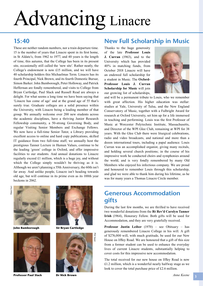# Advancing Linacre

### **15:40**

These are neither random numbers, nor a train departure time. 15 is the number of years that Linacre spent in its first home, in St Aldate's, from 1962 to 1977, and 40 years is the length of time, this autumn, that the College has been in its present site, occasionally still called the 'new site'. Rather neatly, the College's endowment is now £15 million, and we will have 40 scholarship holders this Michaelmas Term. Linacre has its fourth Principal, Nick Brown, and its fourth Domestic Bursar, Simon Barker. John Bamborough, Peter Holloway, and Patrick Heffernan are fondly remembered, and visits to College from Bryan Cartledge, Paul Slack and Russell Read are always a delight. For what seems a long time we have been saying that 'Linacre has come of age' and at the grand age of 55 that's surely true. Graduate colleges are a solid presence within the University, with Linacre being a leading member of that group. We annually welcome over 200 new students across the academic disciplines, have a thriving Junior Research Fellowship community, a 50-strong Governing Body, and regular Visiting Senior Members and Exchange Fellows. We now have a full-time Senior Tutor, a Library providing excellent access to online and hard copy publications, skilled IT guidance from two full-time staff, we annually host the prestigious Tanner Lecture in Human Values, continue to be the leading 'green' college in Oxford, and offer impressive facilities to our students. And annual donations to Linacre regularly exceed £1 million, which is a huge joy, and without which the College simply wouldn't be thriving as it is. Although we aren't planning a 55th Anniversary, the 60th isn't far away. And unlike people, Linacre isn't heading towards old age, but will continue in its prime even as its 100th year beckons in 2062.



**John Bamborough**



**Professor Paul Slack**



**Sir Bryan Cartledge**



**Dr Nick Brown**

### **New Full Scholarship in Music**

Thanks to the huge generosity of the late **Professor Louis J. Curran** (1963), and to the University which has provided 40% in matching funds, from October 2018 Linacre will have an endowed full scholarship for a student in Music. The **Oxford-Professor Louis J. Curran Scholarship for Music** will join our growing list of scholarships,



and will be a permanent tribute to Louis, who we remember with great affection. His higher education was stellar: studies at Yale, University of Tulsa, and the New England Conservatory of Music, together with a Fulbright Award for research at Oxford University, set him up for a life immersed in teaching and performing. Louis was the first Professor of Music at Worcester Polytechnic Institute, Massachusetts, and Director of the WPI Glee Club, remaining at WPI for 38 years. With the Glee Club there were liturgical celebrations, radio and video broadcasts, and national and more than a dozen international tours, including a papal audience. Louis Curran was an accomplished organist, giving many recitals, and holding several church positions; in the course of his impressive work he conducted choirs and symphonies around the world, and is very fondly remembered by many Old Members who enjoyed his infectious company. We are proud and honoured to remember Louis through this scholarship, and glad we were able to thank him during his lifetime, as he was for many years a Thomas Linacre Circle member.

# **Generous Accommodation gifts**

During the last few months, we are thrilled to have received two wonderful donations from the **Rt Rev'd Carolyn Tanner Irish** (1964), Honorary Fellow. Both gifts will be used for Accommodation, and they are very gratefully received.

**Professor Justin Leiber** (1970) – see Obituary – has generously remembered Linacre College in his will. A gift of \$276,000 will, with much gratitude, be used for our New House on Iffley Road. We are honoured that a gift of this size from a former student can be used to enhance the everyday lives of current Linacre students, substantially helping to cover costs for this impressive new accommodation.

The total received for our new house on Iffley Road is now £1.2 million, which is a wonderful nearly halfway stage as we look to cover the total purchase price of £2.6 million.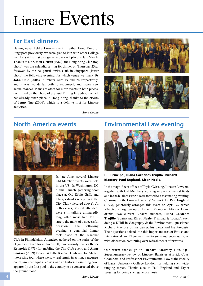## **Far East dinners**

Having never held a Linacre event in either Hong Kong or Singapore previously, we were glad to join with other College members at the first ever gathering in each place, in late March. Thanks to **Dr Simon Griffin** (1989), the Hong Kong Club (top photo) was the splendid setting for dinner on Thursday 23rd, followed by the delightful Swiss Club in Singapore (lower photo) the following evening, for which venue we thank **Dr**  John Cole (2006). Numbers were 19 and 24 respectively, and it was wonderful both to reconnect, and make new acquaintances. Plans are afoot for more events in both places, confirmed by the photo of a Squid Fishing Expedition which has already taken place in Hong Kong, thanks to the efforts of **Jenny Tao** (2006), which is a definite first for Linacre activities.





*Anne Keene*

### **North America events**





In late June, several Linacre Old Member events were held in the US. In Washington DC a small lunch gathering took place at Old Ebbitt Grill, and a larger drinks reception at the City Club (pictured above). At both events, several attendees were still talking animatedly long after most had left – surely the mark of a successful occasion. The following evening a convivial dinner took place at the Racquet

Club in Philadelphia. Attendees gathered on the stairs of the elegant entrance for a photo (left). We warmly thanks **Bruce Reynolds** (1973) for enabling the City Club event, and **Alvar Soosaar** (2009) for access to the Racquet Club, and for Alvar's interesting tour where we saw real tennis in action, a racquets court, umpteen squash courts, and an historic swimming pool, apparently the first pool in the country to be constructed above the ground floor.

## **Environmental Law evening**



L-R: **Principal**, **Iliana Cardenes Trujillo**, **Richard Macrory**, **Paul England**, **Kiron Neale**.

In the magnificent offices of Taylor Wessing, Linacre Lawyers, together with Old Members working in environmental fields and in the business world were treated to a fascinating evening. Chairman of the Linacre Lawyers' Network, **Dr Paul England** (1993), generously arranged this event on April 27 which attracted a large group of Linacre Members. After welcome drinks, two current Linacre students, **Iliana Cardenes Trujillo** (Spain) and **Kiron Neale** (Trinidad & Tobago), each doing a DPhil in Geography & the Environment, questioned Richard Macrory on his career, his views and his forecasts. Their questions delved into this important area of British and international law. There was time for some audience questions, with discussion continuing over refreshments afterwards.

Our warm thanks go to **Richard Macrory Hon. QC**, Supernumerary Fellow of Linacre, Barrister at Brick Court Chambers, and Professor of Environmental Law at the Faculty of Laws, University College London, for fielding such wideranging topics. Thanks also to Paul England and Taylor Wessing for being such generous hosts.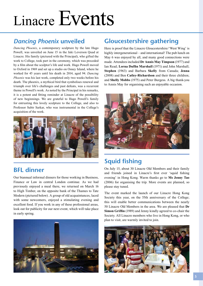# *Dancing Phoenix* **unveiled**

*Dancing Phoenix*, a contemporary sculpture by the late Hugo Powell, was unveiled on June 15 in the Jaki Leverson Quad at Linacre. His family (pictured with the Principal), who gifted the work to College, took part in the ceremony, which was preceded by a film about the sculptor's life and work. Hugo Powell moved to Oxford in 1969 and set up a studio on Osney Island, where he worked for 45 years until his death in 2014, aged 94. *Dancing Phoenix* was his last work, completed only two weeks before his death. The phoenix, a mythical bird that symbolises renewal and triumph over life's challenges and past defeats, was a recurrent theme in Powell's work. As noted by the Principal in his remarks, it is a potent and fitting reminder at Linacre of the possibility of new beginnings. We are grateful to Hugo Powell's family for entrusting this lovely sculpture to the College, and also to Professor Subir Sarkar, who was instrumental in the College's acquisition of the work.



## **BFL dinner**

Our biannual informal dinners for those working in Business, Finance or Law in central London continue. As we had previously enjoyed a meal there, we returned on March 16 to High Timber, on the opposite bank of the Thames to Tate Modern (pictured below). A group of old acquaintances, laced with some newcomers, enjoyed a stimulating evening and excellent food. If you work in any of these professional areas, look out for publicity for our next event, which will take place in early spring.



# **Gloucestershire gathering**

Here is proof that the Linacre Gloucestershire/'West Wing' is highly intergenerational – and international! The pub lunch on May 6 was enjoyed by all, and many good connections were made. Attendees included **Dr Annis May Timpson** (1977) and Ian Read; **Lorna Duffin Marshall** (1971) and John Marshall; **Stephen** (1963) and Barbara **Skelly** from Canada; **Jenna** (2008) and Ben **Catley-Richardson** and their three children; and **Shelly Mobbs** (1975) and Peter Burgess. A big thank-you to Annis May for organising such an enjoyable occasion.



# **Squid fishing**

On July 15, about 30 Linacre Old Members and their family and friends joined in Linacre's first ever 'squid fishing evening' in Hong Kong. Warm thanks go to **Ms Jenny Tao**  (2006) for organising the trip. More events are planned, so please stay tuned.

The event marked the launch of our Linacre Hong Kong Society this year, on the 55th anniversary of the College; this will enable better communications between the nearly 50 Linacre Old Members in the area. We are pleased that **Dr Simon Griffin** (1989) and Jenny kindly agreed to co-chair the Society. All Linacre members who live in Hong Kong, or who plan to visit, are warmly invited to join.

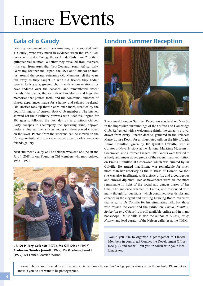# **Gala of a Gaudy**

Feasting, enjoyment and merry-making, all associated with a 'Gaudy', were very much in evidence when the 1972-1981 cohort returned to College the weekend of July 1 and 2 for their quinquennial reunion. Whether they travelled from overseas (this year from Australia, New Zealand, South Africa, Italy, Germany, Switzerland, Japan, the USA and Canada) or from just around the corner, returning Old Members felt the years fall away as they caught up with old friends they hadn't seen in forty years, greeted chums with whom relationships have endured over the decades, and remembered absent friends. The banter, the warmth of handshakes and hugs, the memories that poured forth, and the communal embrace of shared experiences made for a happy and relaxed weekend. Old Boaties took up their blades once more, steadied by the youthful vigour of current Boat Club members. The kitchen showed off their culinary prowess with Beef Wellington for 100 guests, followed the next day by scrumptious Garden Party canapés to accompany the sparkling wine, enjoyed under a blue summer sky as young children played croquet on the lawn. Photos from the weekend can be viewed on the College website at http://www.linacre.ox.ac.uk/old-membersfriends/gallery.

Next summer's Gaudy will be held the weekend of June 30 and July 1, 2018 for our Founding Old Members who matriculated 1962 – 1971.



L-R, **Dr Hilary Colenso** (1977), **Ms Gill Dixon** (1977), **Professor Sandra Jowett** (1977), **Dr Graham Jowett** (1979), Mr Francis Marslen-Wilson.

### **London Summer Reception**



The annual London Summer Reception was held on May 30 in the impressive surroundings of the Oxford and Cambridge Club. Refreshed with a welcoming drink, the capacity crowd, drawn from every Linacre decade, gathered in the Princess Marie Louise Room for an illustrated talk on the life of Lady Emma Hamilton, given by **Dr Quintin Colville**, who is Curator of Naval History at the National Maritime Museum in Greenwich, and a former Linacre JRF. Guests were treated to a lively and impassioned précis of the recent major exhibition on Emma Hamilton at Greenwich which was curated by Dr Colville. He argued that Emma was remarkable for much more than her notoriety as the mistress of Horatio Nelson; she was also intelligent, with artistic gifts, and a courageous and shrewd diplomat. Her achievements were all the more remarkable in light of the social and gender biases of her time. The audience warmed to Emma, and responded with many thoughtful questions, which continued over drinks and canapés in the elegant and bustling Drawing Room. Warmest thanks go to Dr Colville for his stimulating talk. For those who missed the event and the exhibition, *Emma Hamilton: Seduction and Celebrity*, is still available online and in many bookshops. Dr Colville is also the author of *Nelson*, *Navy*, *Nation*, and lead curator of the Nelson galleries at the NMM.

Would you like to organise a get-together of Linacre Members in your area? Contact the Development Office (see p 2) and we will put you in touch with your local Linacrites.

Informal photos are often taken at Linacre events, and may be used in College publications or on the website. Please let us know if you do not want to be photographed.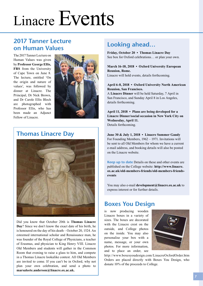# **2017 Tanner Lecture on Human Values**

The 2017 Tanner Lecture on Human Values was given by **Professor George Ellis, FRS** from the University of Cape Town on June 8. The lecture, entitled 'On the origin and nature of values', was followed by dinner at Linacre. The Principal, Dr Nick Brown, and Dr Carole Ellis Bloch are photographed with Professor Ellis, who has been made an Adjunct Fellow of Linacre.



## **Thomas Linacre Day**



Did you know that October 20th is **Thomas Linacre Day**? Since we don't know the exact date of his birth, he is honoured on the day of his death – October 20, 1524. An esteemed international scholar and Renaissance man, he was founder of the Royal College of Physicians, a teacher of Erasmus, and physician to King Henry VIII. Linacre Old Members and students will gather in the Common Room that evening to raise a glass to him, and compete in a Thomas Linacre lookalike contest. All Old Members are invited to come. If you can't be in Oxford, why not plan your own celebration, and send a photo to **marsaleete.anderson@linacre.ox.ac.uk.** 

## **Looking ahead…**

**Friday, October 20 • Thomas Linacre Day**  See box for Oxford celebrations… or plan your own.

**March 16-18, 2018 • Oxford University European Reunion, Rome.**  Linacre will hold events, details forthcoming.

#### **April 6-8, 2018 • Oxford University North American Reunion, San Francisco.**

A **Linacre Dinner** will be held Saturday, 7 April in San Francisco, and Sunday April 8 in Los Angeles, details forthcoming.

**April 11, 2018 • Plans are being developed for a Linacre Dinner/social occasion in New York City on Wednesday, April 11.**  Details forthcoming.

**June 30 & July 1, 2018 • Linacre Summer Gaudy**  For Founding Members, 1962 – 1971. Invitations will be sent to all Old Members for whom we have a current e-mail address, and booking details will also be posted on the Linacre website.

**Keep up to date** Details on these and other events are published on the College website: **http://www.linacre. ox.ac.uk/old-members-friends/old-members-friendsevents** 

You may also e-mail **development@linacre.ox.ac.uk** to express interest or for further details.

## **Boxes You Design**

is now producing wooden Linacre boxes in a variety of sizes. The boxes are decorated with the Linacre crest on the outside, and College photos on the inside. You may also personalise your box with a name, message, or your own photos. For more information, and to place an order, see



http://www.boxesyoudesign.com/LinacreOxfordOrder.htm Orders are placed directly with Boxes You Design, who donate 10% of the proceeds to College.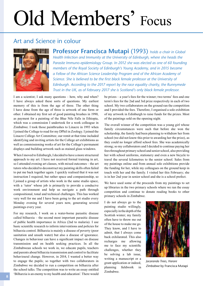# Old Members' Focus

# Art and Science in colour



**Professor Francisca Mutapi** (1993) *holds a chair in Global Health Infection and Immunity at the University of Edinburgh, where she heads the Parasite Immuno-epidemiology Group. In 2012 she was elected as one of 60 founding members of the Royal Society of Edinburgh's Young Academy, and in 2015 became a Fellow of the African Science Leadership Program and of the African Academy of Science. She is believed to be the first black female professor at the University of Edinburgh. According to the 2017 report by the race equality charity, the Runnymede Trust in the UK, as of February 2017 she is Scotland's only black female professor.*

I am a scientist; I ask many questions – how, why and when? I have always asked these sorts of questions. My earliest memory of this is from the age of three. The other thing I have done from the age of three is artwork of one form or other. I obtained my first set of good painting brushes in 1990, as payment for a painting of the Blue Nile Falls in Ethiopia, which was a commission I undertook for a work colleague in Zimbabwe. I took those paintbrushes to Linacre in 1993 when I joined the College to read for my DPhil in Zoology. I joined the Linacre College Art Committee; our remit at that time included identifying and inviting artists for the College art exhibitions as well as commissioning works of art for the College's permanent displays and building artwork such as stained glass windows.

When I moved to Edinburgh, I decided to have a more structured approach to my art. I have not received formal training in art, so I attended evening art classes, with mixed outcomes – the art tutors who decided to deconstruct my painting skills often failed to put me back together again. I quickly realised that it was not instruction I required, but rather space and companionship, so I joined a group of artists who work in the same studio space, with a 'tutor' whose job is primarily to provide a conducive work environment and help us navigate a path through compositional, tonal and technical challenges. This has worked very well for me and I have been going to the art studio every Monday evening for several years now, generating several paintings every year.

For my research, I work on a water-borne parasitic disease called bilharzia – the second most important parasitic disease of public health importance in Africa (2nd to malaria). I use basic scientific research to inform interventions and policies for bilharzia control. Bilharzia is mainly a disease of poverty (poor sanitation and unsafe water) but also a disease of ignorance. Changes in behaviour can have a significant impact on disease transmission and on health seeking practices. In all the Zimbabwean schools we work in, we educate pupils, teachers and parents about bilharzia transmission and control to facilitate behavioural change. However, in 2014, I wanted a better way to engage the pupils; so together with two collaborators in Zimbabwe we decided to run a competition on bilharzia after the school talks. The competition was to write an essay entitled 'Bilharzia is an enemy to my health and education'. There would be prizes – a year's fees for the winner; two terms' fees and one term's fees for the 2nd and 3rd prize respectively in each of two school. My two collaborators on the ground ran the competition and I provided the fees. Therefore, I organised a solo exhibition of my artwork in Edinburgh to raise funds for the prizes. Most of the paintings sold on the opening night.

The overall winner of the competition was a young girl whose family circumstances were such that before she won the scholarship, the family had been planning to withdraw her from school (we did not know this prior to awarding her the prize), as they could no longer afford school fees. She was academically strong; so my collaborators and I decided to continue paying her fees throughout primary school and senior school, also providing her with school uniforms, stationery and even a new bicycle to travel the several kilometres to the senior school. Sales from my paintings online and from annual solo exhibitions provide the funding for her, while my colleagues on the ground keep in touch with her and the family. I visited her this February; she is in her 2nd year in senior school and she is a school prefect.

We have used some of the proceeds from my paintings to set up libraries in the two primary schools where we ran the essay competition and continue to donate reading books to other primary schools in Zimbabwe.

I do not always go to the painting studio willingly, especially in the depth of the Scottish winter; my family often have to throw me out of the house to make me go. They know, and I have to admit, that I always come back exhilarated. This also recharges me allowing me to face my scientific challenges, whether they be solving a lab issue, writing a manuscript or a grant application or indeed, planning fieldwork in Zimbabwe.



*Jacaranda Trees, Harare Zimbabwe* by Francisca Mutapi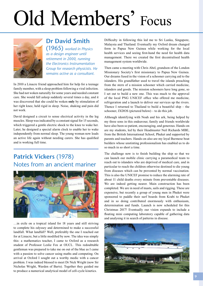# Old Members' Focus



# **Dr David Smith**

(1965) *worked in Physics as a design engineer until retirement in 2000, running the Electronics Instrumentation Group for research physicists. He remains active as a consultant.*

In 2010 a Linacre friend approached him for help for a teenage family member, with a sleep problem following a viral infection. She had not woken naturally for some years and needed constant care. She would fall asleep suddenly several times a day, and it was discovered that she could be woken **only** by stimulation of her right knee, held rigid in sleep. Noise, shaking and pain did not work.

David designed a circuit to sense electrical activity in the leg muscles. Sleep was indicated by a constant signal for 15 seconds, which triggered a gentle electric shock to the knee to wake her. Later, he designed a special alarm clock to enable her to wake independently from normal sleep. The young woman now leads an active life again without needing carers. She has qualified and is working full time.

# **Patrick Vickers** (1978) Notes from an ancient mariner



…in exile on a tropical island for 18 years and still striving to complete his odyssey and determined to make a successful landfall. What landfall? Well, preferably the one I reached out for at Linacre, but a little modified by now. The idea was simply this: a mathematics teacher, I came to Oxford as a research student of Professor Leslie Fox at OUCL. This redoubtable gentleman was prepared to take me on out of the blue as I came with a passion to solve cancer using maths and computing. On arrival at Oxford I sought out a worthy medic with a cancer problem. I was indeed blessed to meet Dr Nick Wright (now Sir Nicholas Wright, Warden of Barts). Together they guided me to produce a numerical analytical model of cell-cycle kinetics.

Difficulty in following this led me to Sri Lanka, Singapore, Malaysia and Thailand. Eventually my Oxford dream changed form in Papua New Guinea while working for the local health services and seeing first-hand the need for health data management. There we created the first decentralised health management system worldwide.

Then came a meeting with Chris Abel, grandson of the London Missionary Society's first missionary to Papua New Guinea. Our dreams fused in the vision of a schooner carrying aid to the islanders. His grandfather used to travel the islands preaching from the stern of a mission schooner which carried medicine, islanders and goods. The mission schooners have long gone, so I set out to build a new one. This was much to the approval of the local PNG UNICEF office who offered me medicine, refrigeration and a launch to deliver our services up the rivers. Thence I returned to Thailand to build a beautiful ship – the schooner, IXDOS (pictured below) – to do this job.

Although identifying with Noah and his ark, being helped by my three sons in this endeavour, family and friends worldwide have also been so patient, encouraging, and generous. Hands-on are my students, led by their Headmaster Neil Richards MBE, from the British International School, Phuket and supported by parents and teachers. Hands-on also are my loyal Burmese boat builders whose unstinting professionalism has enabled us to do so much in so short a time.

The challenge now is to finish building the ship so that we can launch our mobile clinic carrying a paramedical team to reach out to islanders who are deprived of medical care, and in particular to reach the children otherwise destined to die young from diseases which can be prevented by normal vaccination. This is also the UNICEF promise to reduce the alarming rate of about 11 child deaths every minute from preventable diseases. We are indeed getting nearer. Main construction has been completed. We are in need of masts, sails and rigging. These are expensive, but recently a group of young men in Phuket were sponsored to paddle their surf boards from Krabi to Phuket and in so doing contributed enormously with enthusiasm, determination and funds. Launch is now scheduled for this Christmas 2017! Eventually our vision expands to include a floating mini computing laboratory capable of gathering data and analysing it in search of patterns in disease.

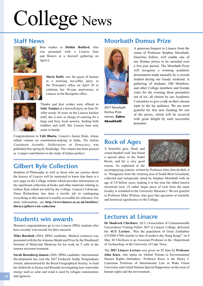# College News

#### **Staff News**



Best wishes to **Debbie Bedford**, who was presented with a Linacre bear and flowers at a farewell gathering on April 6.



**Marie Duffy** was the guest of honour at a morning tea/coffee party in the Principal's office on April 20 to celebrate her 10-year anniversary at Linacre in the Reception office.



Thanks and best wishes were offered to **Sally Tendayi** at a farewell party on June 30. After nearly 10 years on the Linacre kitchen staff, she is now in charge of catering for a large and busy local nursery, feeding both toddlers and staff. Her Linacre bear may come in handy.

Congratulations to **Udit Bhatia**, Linacre's Junior Dean, whose edited volume on constitution-making in India, *The Indian Constituent Assembly: Deliberations on Democracy*, was published this spring by Routledge. The volume has been praised as 'a major contribution to the study of Indian politics'.

# **Gilbert Ryle Collection**

Students of Philosophy as well as those who are curious about the history of Linacre will be interested to know that there is a new page on the College website which provides information on the significant collection of books and other materials relating to Gilbert Ryle which are held by the College. Linacre's Librarian, Fiona Richardson, has done a terrific job in cataloguing everything so this material is readily accessible for reference. For more information, see **http://www.linacre.ox.ac.uk/facilities/ library/gilbert-ryle-collection** 

### **Students win awards**

Warmest congratulations go to two Linacre DPhil students who have recently won awards for their research.

**Mike Barnkob** (2014, DPhil candidate, Medical sciences) was presented with the Ita Askonas Medal and Prize by the Weatherall Institute of Molecular Medicine for his work on T cells in the tumour microenvironment.

**Sarah Rosenberg-Jansen** (2016, DPhil candidate, International Development) has won the 2017 Frederick Soddy Postgraduate Award, administered by the Royal Geographical Society, to fund her fieldwork in Kenya and Rwanda investigating how renewable energy such as solar and wind is used by refugee communities and agencies.

## **Moorbath Domus Prize**



2017 Moorbath Domus Prize winner, **Zahra Aboukhalil**

A generous bequest to Linacre from the estate of Professor Stephen Moorbath, Emeritus Fellow, will enable one of our Domus prizes to be awarded over a five-year period. The Moorbath Prize will recognise a winning academic presentation made annually by a current student during our Gaudy weekend. A gathering of students, Old Members, and other College members and friends votes for the winning three presenters out of six, all chosen by our Academic Committee to give a talk on their chosen topic to the lay audience. We are most grateful for this new funding for one of the prizes, which will be received with great delight by each successful presenter.

### **Rock of Ages**

A beautiful grey, black and cream banded 'rock' has found a special place in the Nadel Room, and for a very good reason. As explained in the



accompanying citation, written by Professor John (David) Bell, it is: 'Paragneiss from the Amitsoq area of South-West Greenland, collected and isotopically dated by Stephen Moorbath with an age of 3.8 billion years, making it at the time the oldest known terrestrial rock. (A rather larger piece of rock from the same locality is exhibited in the University Museum.)' We are grateful to Professor Mike Whelan, who gave this specimen of scientific and historical significance to the College.

#### **Lectures at Linacre**

**Dr Shadreck Chirikure**, ACU (Association of Commonwealth Universities) Visiting Fellow 2017 at Linacre College, delivered the **ACU Lecture**, 'Was the population of Great Zimbabwe (CE1000-1700) similar to that of modern day Hong Kong?' on 4 May. Dr Chirikure is an Associate Professor in the Department of Archaeology at the University of Cape Town.

The **2017 Linacre Lecture** was given on 20 June by **Professor John Knox**, who spoke on 'Global Threats to Environmental Human Rights Defenders.' Professor Knox is the Henry C Lauerman Professor of International Law at Wake Forest University and United Nations Special Rapporteur on the issue of human rights and the environment.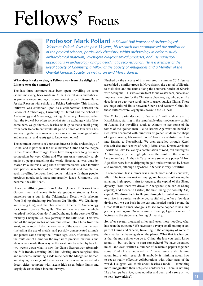# Fellows' Focus



**Professor Mark Pollard** *is Edward Hall Professor of Archaeological Science at Oxford. Over the past 35 years, his research has encompassed the application of the physical sciences, particularly chemistry, within archaeology in order to study archaeological materials, investigate biogeochemical processes, and use numerical applications in archaeology and palaeoclimatic reconstruction. He is a Member of the Royal Society of Chemistry, a Fellow of the Society of Antiquaries and a Member of the Oriental Ceramic Society, as well as an avid Morris dancer.*

#### **What does it take to drag a Fellow away from the delights of Linacre over the summer?**

The last three summers have been spent travelling on some (sometimes very) back roads in China, Central Asia and Siberia, as part of a long-standing collaboration set up by Professor Dame Jessica Rawson with scholars in Peking University. This inspired initiative was embarked upon as a collaboration between the School of Archaeology, University of Oxford and the School of Archaeology and Museology, Peking University. However, rather than the typical but often somewhat sterile exchange visits (they come here, we go there…), Jessica set it up so that a small group from each Department would all go on a three or four week bus journey together – somewhere we can visit archaeological sites and museums, and *really* get to know each other!

The common theme is of course an interest in the archaeology of China, and in particular the links between China and the Steppe in the Chinese Bronze Age. There have always been long distance connections between China and Western Asia – probably rarely made by people travelling the whole distance, as was done by Marco Polo, but via a long chain of intermediaries, each familiar with particular sections of the route (the deserts and mountains), each travelling between fixed points, taking with them people, precious goods, and, most importantly, ideas. Ultimately this became 'the Silk Road'.

Hence, in 2014, a group from Oxford (Jessica, Professor Chris Gosden, me, and some fortunate graduate students) found ourselves on a bus in the Taklamakan Desert with scholars from Beijing (including Professors Xu Tianjin, Wu Xiaohong, and Zhang Chi), and the charismatic Director of Archaeology for Gansu Province, Wang Hui. The aim was to drive the whole length of the Hexi Corridor from Dunhuang in the desert to Xi'an, formerly Changan, China's gateway to the Silk Road. This was one of the major routes of communication into China from the West, and is most likely the way many of the ideas from the west (including the use of metals, and possibly domesticated animals and plants) came during the Bronze Age. Also, of course, it was the route out of China for the myriad of precious materials and ideas which made their way to the west. We travelled by bus for two weeks down what is now the Gansu Expressway (formerly the Silk Road), covering 2000 km, visiting archaeological sites and museums, including a jade mine near the Mongolian border, and staying in a range of former oasis towns, now converted into desert cities, complete with vacant high rises, bright lights and largely deserted three-lane motorways.

Flushed by the success of this venture, in summer 2015 Jessica assembled a similar group in Novosibirsk, the capital of Siberia, to visit sites and museums along the southern border of Siberia with Mongolia. This was a rare treat for us westerners, but also an important exercise for the Chinese archaeologists, who up until a decade or so ago were rarely able to travel outside China. There are huge cultural links between Siberia and western China, but these cultures were largely unknown to the Chinese.

The Oxford party decided to 'warm up' with a short visit to Kazakhstan, starting in the remarkable ultra-modern new capital of Astana, but travelling south to Almaty to see some of the tombs of the 'golden men' – elite Bronze Age warriors buried in rich cloth decorated with hundreds of golden studs in the shape of tigers. And gold-covered boots! From Kazakhstan we flew into Russia, to Novosibirsk. We then travelled through Kyzyl (the self-declared 'centre of Asia'), Minusinsk, Krasnoyarsk and Irkutsk, to Lake Baikal by a combination of road, rail and flights. Archaeologically the highlight was the visit to the massive kurgan tombs at Arzhan in Tuva, where some very powerful Iron Age elites were buried dripping in gold and surrounded by horses and warriors, although anywhere in Siberia is very beautiful.

In comparison, last summer was a much more modest (but wet!) affair. The travellers met in Beijing, and headed south (using the amazing high speed train) to Anyang, the capital of the Shang dynasty. From there we drove to Zhengzhou (the earlier Shang capital), and thence to Erlitou, the first Shang (or possibly Xia) capital. We drove back to Beijing through torrential monsoons, to arrive in a partially-submerged capital city. After a few days drying out, we got back in the car and headed north beyond the Great Wall into Inner Mongolia to see some copper mines, and got very wet again. On returning to Beijing, I gave a series of lectures to the students at Peking University.

So, after several thousand miles and even more noodles, what has been the outcome? We have seen a (very) small but important part of China and Siberia, travelling in the company of some of the smartest archaeologists on the planet. What that teaches you is that the more times you go to China, the less you really know about it – but you have to start somewhere! We have discussed much, and even written a number of academic papers together, some of which are published in Chinese. We are still talking about future joint research. If anybody is thinking about how to set up really effective collaborations with other parts of the world, I suggest you think about Jessica's model – something more imaginative than set-piece conferences. There is nothing like a bumpy bus ride, some noodles and beer, and a song or two to help 'networking'!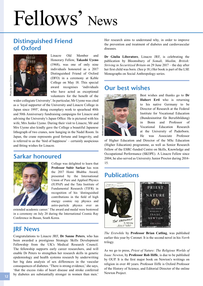# Fellows' News

## **Distinguished Friend of Oxford**



Linacre Old Member and Honorary Fellow, **Takashi Uyeno**  (1968), was one of only nine individuals honoured as a 2017 Distinguished Friend of Oxford (DFO) in a ceremony at Keble College on May 18. This special award recognises 'individuals who have acted as exceptional volunteers for the benefit of the

wider collegiate University'. In particular, Mr Uyeno was cited as a 'loyal supporter of the University and Linacre College in Japan since 1995', doing exemplary work to spearhead 40th and 50th Anniversary fundraising campaigns for Linacre and advising the University's Japan Office. He is pictured with his wife, Mrs Junko Uyeno. During their visit to Linacre, Mr and Mrs Uyeno also kindly gave the College a beautiful Japanese lithograph of two cranes, now hanging in the Nadel Room. In Japan, the crane represents good fortune and longevity, and is referred to as the 'bird of happiness' – certainly auspicious and fitting wishes for Linacre.

#### **Sarkar honoured**



College was delighted to learn that **Professor Subir Sarkar** has won the 2017 Homi Bhabha Award, presented by the International Union of Pure and Applied Physics (IUPAP) and the Tata Institute of Fundamental Research (TIFR) in recognition of his 'distinguished contributions in the field of high energy cosmic ray physics and astro-particle physics over an

extended academic career.' The award and medal were bestowed in a ceremony on July 20 during the International Cosmic Ray Conference in Busan, South Korea.

#### **JRF News**

Congratulations to Linacre JRF, **Dr Sanne Peters**, who has been awarded a prestigious Strategic Skills Development Fellowship from the UK's Medical Research Council. The fellowship supports early career researchers, and will enable Dr Peters to strengthen her research skills in genetic epidemiology and health systems research by underwriting her big data analysis of sex differences in the vascular consequences of diabetes. 'There is strong evidence,' she says, 'that the excess risks of heart disease and stroke conferred by diabetes are substantially stronger in women than men.'

Her research aims to understand why, in order to improve the prevention and treatment of diabetes and cardiovascular diseases.

**Dr Giulia Liberatore**, Linacre JRF, is celebrating the publication by Bloomsbury of *Somali, Muslim, British: Striving in Securitized Britain* on 29 June 2017 – the day after her first child was born. (See p 18.) Her book is part of the LSE Monographs on Social Anthropology series.

### **Our best wishes**



Best wishes and thanks go to **Dr Hubert Ertl** who is returning to his native Germany to be Director of Research at the Federal Institute for Vocational Education (Bundesinstitut für Berufsbildung) in Bonn and Professor of Vocational Education Research at the University of Paderborn. He was Associate Professor

of Higher Education and Director of the MSc Education (Higher Education) programme, as well as Senior Research Fellow of the ESRC-funded Centre on Skills, Knowledge and Occupational Performance (SKOPE). A Linacre Fellow since 2004, he also served as University Junior Proctor during 2014- 15.

### **Publications**



*The Erstwhile* by **Professor Brian Catling**, was published earlier this year by Coronet. It is the second novel in his *Vorrh* trilogy.

As we go to press, *Priest of Nature: The Religious Worlds of Isaac Newton*, by **Professor Rob Iliffe**, is due to be published by OUP. It is the first major book on Newton's writings on religion in over 40 years. Professor Iliffe is Oxford Professor of the History of Science, and Editorial Director of the online Newton Project.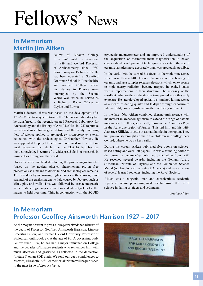# Fellows' News

## **In Memoriam Martin Jim Aitken**



Fellow of Linacre College from 1965 until his retirement in 1989, and Oxford Professor of Archaeometry since 1985, passed away on 15 June 2017. He had been educated at Stamford Grammar School in Lincolnshire and Wadham College, where his studies in Physics were interrupted by the Second World War, when he served as a Technical Radar Officer in Ceylon and Burma.

Martin's doctoral thesis was based on the development of a 120-MeV electron synchrotron in the Clarendon Laboratory but he transferred to the recently created Research Laboratory for Archaeology and the History of Art (RLAHA) in 1957 to pursue his interest in archaeological dating and the newly emerging field of science applied to archaeology, *archaeometry*, a term he coined with the archaeologist, Christopher Hawkes. He was appointed Deputy Director and continued in this position until retirement, by which time the RLAHA had become the acknowledged centre of a widespread field of research in universities throughout the world.

His early work involved developing the proton magnetometer (based on the nuclear physics phenomenon, proton free precession) as a means to detect buried archaeological remains. This was done by measuring slight changes in the above-ground strength of the earth's magnetic field caused by features such as kilns, pits, and walls. This was followed by archaeomagnetic work establishing changes in direction and intensity of the Earth's magnetic field over time. This, in conjunction with the SQUID

cryogenic magnetometer and an improved understanding of the acquisition of thermoremanent magnetisation in baked clay, enabled development of techniques to ascertain the age of ceramic samples more accurately than was previously possible.

In the early '60s, he turned his focus to thermoluminescence which was then a little known phenomenon: the heating of ceramic and lava samples releases electrons which, on exposure to high energy radiation, became trapped in excited states within imperfections in their structure. The intensity of the resultant radiation then indicates the time passed since this early exposure. He later developed optically-stimulated luminescence as a means of dating quartz and feldspar through exposure to intense light, now a significant method of dating sediment.

In the late '70s, Aitken combined thermoluminescence with his interest in archaeomagnetism to extend the range of datable materials to lava flows, specifically those in the Chaîne des Puys in the Auvergne region of France. This led him and his wife, Joan (née Killick), to settle in a small hamlet in the region. They had previously brought up their five children in a village near Oxford, where he was a keen sailor.

During his career, Aitken published five books on sciencebased dating and over 150 papers. He was a founding editor of the journal, *Archaeometry*, published by RLAHA from 1958. He received several awards, including the Gemant Award (American Institute of Physics) and the Pomerance Science Medal (Archaeological Institute of America) and was a Fellow of several learned societies, including the Royal Society.

Aitken was a congenial man and conscientious academic supervisor whose pioneering work revolutionised the use of science in dating artefacts and sediments.

*Jessica Aitken*

## **In Memoriam Professor Geoffrey Ainsworth Harrison 1927 – 2017**

As the magazine went to press, College received the sad news of the death of Professor Geoffrey Ainsworth Harrison, Linacre Emeritus Fellow, and former Oxford University Professor of Biological Anthropology, at the age of 90. A governing body Fellow since 1966, he has had a major influence on College and the decades of Linacre students who remember him with much affection and gratitude, as reflected in the dedication (pictured) on an SDR chair. We send our deep condolences to his wife, Elizabeth. A fuller memorial tribute will be published in the next issue of *Linacre News*.

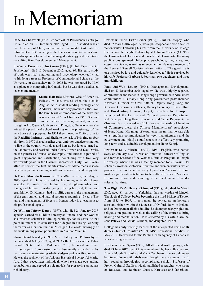# In Memoriam

**Roberto Chadwick** (1962, Economics), of Providencia Santiago, Chile, died on 19 December 2016, aged 78. He studied law at the University of Chile, and worked at the World Bank until his retirement in 1987, serving as the Bank's representative in Zaire. He subsequently founded and managed a strategy and operations consulting firm, Development and Management.

**Professor Emeritus John Cooke** (1961), (DPhil, Experimental Psychology), died 10 December 2015, aged 80. His early study of both electrical engineering and psychology eventually led to his long career as Professor of Computational Science at the University of Saskatchewan. In 2005 he was honoured by IBM as a pioneer in computing in Canada, but he was also a dedicated teacher and mentor.



**Sheila Holt** (née Morton), wife of Emeritus Fellow Jim Holt, was 81 when she died in August. As a student reading zoology at St Andrews, Sheila not only produced a thesis on the lamp brush chromosomes of the newt, but was also voted Miss Charities 1956. She and Jim met in their final year, married, and went

straight off to Queen's University in Kingston, Ontario where she joined the preclinical school working on the physiology of the new born using puppies. In 1963 they moved to Oxford, Jim to the Radcliffe Infirmary and Sheila to the task of bringing up four children. In 1970 she realised her great ambition and determination to live in the country with dogs and horses, but later returned to the laboratory and worked under Garry Brown and Kay Davies on the genetics of muscular dystrophy, and entered a period of great enjoyment and satisfaction, concluding with five very worthwhile years in the Harwell laboratories. Only 6 or 7 years after retirement the first manifestations of Alzheimer's disease became apparent, clouding an otherwise very full and happy life.

**Dr David Muriuki Kamweti** (1977), MSc Forestry, died August 2013, aged 71. He is survived by his loving wife Mrs Agnes Wanjiku Kamweti, five children, two daughters-in-law and four grandchildren. Besides being a loving husband, father and grandfather, Dr Kamweti had a prolific career in the management of the environment and natural resources spanning 46 years. The law and management of forests in Kenya today is a testament to his professional legacy.

**Dr William Jeffery Kaupp** (1977), who died 24 January 2017, aged 65, earned his DPhil in Forestry at Linacre, and then worked as a research scientist in viral epizootiology for 16 years. At that point he returned to education for a degree in nursing, working thereafter as a prison nurse in Michigan. He wrote movingly of his work among prison populations in *Linacre News 34*.

**Shaw David Kinsley** (1998), MSc History and Philosophy of Science, died 6 July 2017, aged 69. As the Director of the Tubac Presidio State Historic Park since 2010, he saved Arizona's first state park from closing, and subsequently expanded it, by recruiting and maintaining a dedicated group of over 70 volunteers. He was the recipient of the Arizona Historical Society Al Merito Award that 'recognizes individuals who have made outstanding contributions and served as role models for preserving Arizona's rich history'.

**Professor Justin Fritz Leiber** (1970), BPhil Philosophy, who died 22 March 2016, aged 77, was a philosopher and also a science fiction writer. Following his PhD from the University of Chicago Lab School, he taught Philosophy at Lehman College (CUNY), the University of Houston, and Florida State University. His many publications spanned philosophy, psychology, linguistics, and cognitive science, as well as science fiction. He was a member of the Bertrand Russell Society, whose motto is: 'The good life is one inspired by love and guided by knowledge.' He is survived by his wife, Professor Barbara R Foorman, two daughters, and three grandchildren.

**Paul Sai-Wah Leung** (1974), Management Development, died on 13 December 2016, aged 69. He was a highly regarded administrator and leader in Hong Kong's government and business communities. His many Hong Kong government posts included Assistant Director of Civil Affairs, Deputy Hong Kong and Kowloon Government Officers, Deputy Secretary of the Culture and Broadcasting Division, Deputy Secretary for Transport, Director of the Leisure and Cultural Services Department, and Principal Hong Kong Economic and Trade Representative (Tokyo). He also served as CEO of one of the leading Chambers of Commerce there, the Chinese Manufacturers' Association of Hong Kong. His range of experience meant that he was able to 'strengthen communication between manufacturers and the government and [play] a significant role in effectively promoting long-term and sustainable development [in Hong Kong].'

**Professor Sally Mitchell** (1972), DPhil English, who passed away on January 1, 2016, was an Emeritus Professor of English and former Director of the Women's Studies Program at Temple University, where she was a faculty member for 28 years. Her scholarly work on Victorian literature and women writers, which produced five books and an encyclopaedia of Victorian Britain, made a significant contribution to the cultural history of Victorian Britain and to our understanding of the development of gender roles at that time.

**The Right Rev'd Henry Richmond** (1961), who died 16 March 2017, aged 81, served in Yorkshire, then as warden of Lincoln Theological College, before becoming the third Bishop of Repton from 1985 to 1999; in retirement he served as an honorary assistant bishop within the Diocese of Oxford. Born in Ireland, and an Orangeman all his adult life, he championed gay rights and religious integration, as well as the calling of the church to bring healing and reconciliation. He is survived by his wife, Caroline, sons Patrick and Gerald William, and daughter Harriet.

College has only recently learned of the unexpected death of **Dr James (Jamie) Rossiter** (2007), MSc Educational Studies, in May 2012. He worked for the Public Health Agency of Canada as an e-learning specialist.

**Professor Lieve Spaas** (1978), MLitt Social Anthropology, who died 23 June 2017, aged 82, is remembered by her colleagues and friends Magda Stroinska and Vikki Cecchetto: 'Lieve could never be pinned down with labels even though there are many that fit her: social anthropologist, accomplished scholar, Professor of French Cultural Studies, widely-published researcher who wrote on Rousseau and Robinson Crusoe, Narcissus and fatherhood,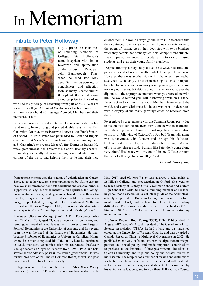# In Memoriam

#### **Tribute to Peter Holloway**



If you probe the memories of Founding Members of College, Peter Holloway's name is spoken with similar reverence and appreciation as that of our first Principal, John Bamborough. Thus, when he died late May aged 88, the outpouring of condolences and affection from so many Linacre alumni throughout the world came as no surprise to those of us

who had the privilege of benefiting from part of his 27 years of service to College. A Book of Condolences has been assembled with well over a hundred messages from Old Members and their memories of him.

Peter was born and raised in Oxford. He was interested in big band music, having sung and played double bass in The Ken Cartwright Quartet, where Peter was known as the 'Frank Sinatra of Oxford'. In 1962, Peter was persuaded by Bam and Rupert Cecil, our first Vice-Principal, to leave his former employment at St Catherine's to become Linacre's first Domestic Bursar. He was a great success in this role with his warm, friendly, cheerful personality, especially when welcoming new students from all corners of the world and helping them settle into their new

environment. He would always go the extra mile to ensure that they continued to enjoy some of their home comforts, even to the extent of turning up on their door step with extra blankets when they complained of the typical cold, damp Oxford climate. His compassion extended to hospital visits to sick or injured students, and even their young family members.

Despite running a very busy office, he always had time and patience for students no matter what their problems were. However, there was another side of his character, a somewhat steely resolve, notably visible when chasing students for unpaid battels. His encyclopaedic memory was legendary, remembering not only our names, but details of our misdemeanours; ever the diplomat, at the appropriate moment when you were alone with him, he would remind you, with a knowing smile on his face. Peter kept in touch with many Old Members from around the world, and every Christmas his house was proudly decorated with a display of the many greetings cards he received from them.

Peter enjoyed a great rapport with the Common Room, partly due to his fondness for the odd beer or two, and he was instrumental in establishing many of Linacre's sporting activities, in addition to his loyal following of Oxford City Football Team. His name was synonymous with Linacre and through his dedicated tireless efforts helped it grow from strength to strength. As one of his former charges said, 'Bursars like Peter don't come along very often.' His legacy will live on in Linacre College through the Peter Holloway House in Iffley Road.

*Dr Keith Lloyd (1967)*

francophone cinema and the trauma of colonization in Congo. These attest to her academic accomplishments but fail to capture how we shall remember her best: a brilliant and creative mind, a supportive colleague, a wise mentor, a free-spirited, fun-loving, unconventional, witty, and generous friend, an enthusiastic traveler, always curious and full of ideas. Just like her book series Polygons published by Berghahn, Lieve embraced "both the cultural and the social" aspect of life, exploring all its "diversities and disparities" in a "thought-provoking and refreshing" way.'

**Professor Giacomo Vaciago** (1965), MPhil Economics, who died 24 March 2017, aged 74, was an economist, politician, and senior government advisor. He was the first professor in charge of Political Economics at the University of Ancona, and for several years he was the head of the Institute of Economics. He later became Professor of Economics at Università Cattolicá, Milan, where he earlier completed his PhD, and where he continued to teach monetary economics after his retirement. Professor Vaciago served as Mayor of Piacenza from 1994 – 1998, and held several senior advisory posts in the Italian government. He was former President of the Linacre Common Room, as well as a past President of the Italian Linacre Society.

College was sad to learn of the death of **Mrs Mary Waley**  (née King), widow of Emeritus Fellow Stephen Waley, on 18 May 2017, aged 93. Mrs Waley was awarded a scholarship to St Hilda's College, and met Stephen in Oxford. She went on to teach history at Witney Girls' Grammar School and Oxford High School for Girls. She was a founding member of her local neighbourhood association, a volunteer guide at the Ashmolean, actively supported the Bodleian Library, and raised funds for a mental health charity and a scheme to help adults with reading difficulties. The snowdrops she planted on the banks of Mill Stream in St Ebbe's in Oxford remain a lovely annual testimony to her community spirit.

**Professor Robert (Bob) Young** (1973), DPhil Politics, died 15 August 2017, aged 66. A past President of the Canadian Political Science Association (CPSA), he had a long and distinguished career at the University of Western Ontario, and was awarded a Canada Research Chair in Multilevel Governance in 2003. He published extensively on federalism, provincial politics, municipal politics and social policy, and made important contributions to projects at the Institute of Intergovernmental Relations at Queen's University, and to public policy and debates related to his research. The recipient of a number of awards and distinctions for both research and teaching, he is remembered with gratitude and affection by both colleagues and students. He is survived by his wife, Louise Gadbois, and two brothers, Bill and Don Young.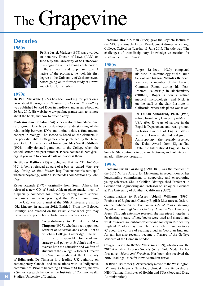# The Grapevine

## **Decades**

#### **1960s**



**Dr Frederick Mulder** (1968) was awarded an honorary Doctor of Laws (LLD) on June 6 by the University of Saskatchewan in recognition of his lifelong contributions in the art world and to philanthropy. A native of the province, he took his first degree at the University of Saskatchewan, before going on to further study at Brown and Oxford Universities.

#### **1970s**

**Dr Paul McGrane** (1972) has been working for years on a book about the origins of Christianity. *The Christian Fallacy* was published by Red Door in hardback and as an e-book on 20 July 2017. His website, www.paulmcgrane.co.uk, tells more about the book, and how to order a copy.

**Professor Jiro Shibata** (1974) is the creator of two educational card games. One helps to develop an understanding of the relationship between DNA and amino acids, a fundamental concept in biology. The second is based on the elements in the periodic table. Both games were published by the Japan Society for Advancement of Inventions. **Mrs Yuriko Shibata** (1974) kindly donated game sets to the College when she visited Oxford this past summer. Please contact shibata@sai. org if you want to know details or to access them.

**Dr Sidney Bailin** (1975) is delighted that his CD, 16-2-60- N-5, is being reissued as part of a box set called *What are they Doing to that Piano:* http://navonarecords.com/epk/ whataretheydoing/, which also includes compositions by John Cage.

**Renee Reznek** (1975), originally from South Africa, has released a new CD of South African piano music, most of it specially composed for Renee by leading South African composers. We were privileged that Renee, now living in the UK, was our pianist at the 50th Anniversary visit to 'Old Linacre' in autumn 2012. Entitled 'From my Beloved Country', and released on the *Prima Facie* label, you may listen to excerpts on her website: www.reneereznek.com



Congratulations to **Dr Annis May Timpson** (1977), who has been appointed Director of Education and Senior Tutor at St John's College, Cambridge. She will be directly responsible for academic strategy and policy at St John's and will oversee both the education and welfare of students at the College. A former Director of Canadian Studies at the University

of Edinburgh, Dr Timpson is a leading UK authority on contemporary Canada, and its relations with its Indigenous communities. Prior to becoming a Fellow at St John's, she was a Senior Research Fellow at the Institute of Commonwealth Studies, University of London.

**Professor David Simon** (1979) gave the keynote lecture at the MSc Sustainable Urban Development dinner at Kellogg College, Oxford on Tuesday 13 June 2017. The title was 'The challenges of transdisciplinary knowledge co-creation for sustainable urban futures'.

#### **1980s**



**Roger Brideau** (1980) completed his MSc in Immunology at the Dunn School, and his son, **Nicholas Brideau**, was also a member of the Linacre Common Room during his Post-Doctoral Fellowship in Biochemistry (2010-15). Roger is now a retired medical microbiologist and Nick is on the staff at the Salk Institute in California, where this photo was taken.



**Dr Lillian Schanfield, Ph.D.** (1988) retired from Barry University in Miami, USA after 43 years of service in the English Department and was granted Professor Emerita of English status. While at Linacre, she did a degree in Anthropology. She recently received the Delta Award from Sigma Tau Delta, the International English Honor

Society. She continues to do some lecturing and volunteers in an adult illiteracy program.

#### **1990s**

**Professor Susan Forsburg** (1990, JRF) was the recipient of the 2016 *Nature* Award for Mentoring in recognition of her longstanding commitment to supporting and encouraging young scientists. She is Gabilan Distinguished Professor in Science and Engineering and Professor of Biological Sciences at The University of Southern California (USC).

Congratulations to **Professor Abigail Williams** (1995), Professor of Eighteenth Century English Literature at Oxford, on the publication of *The Social Life of Books: Reading Together in the Eighteenth Century Home* by Yale University Press. Through extensive research she has pieced together a fascinating picture of how books were used and shared, and what this reveals about domestic life and society in 18th century England. Readers may remember her article in *Linacre News 43* about the culture of reading aloud in Georgian England. Abigail has also recently become a Trustee of the Geffrye Museum of the Home in London.

Congratulations to **Dr Zoë Morrison** (1999), who has won the 2017 Australian Literary Society (ALS) Gold Medal for her first novel, *Music and Freedom*. Her book also received the 2016 Readings Prize for New Australian fiction.

**Dr Brian Trummer** (1999) recently moved to the Washington, DC area to begin a Neurology clinical trials fellowship at NIH (National Institutes of Health) and FDA (Food and Drug Administration).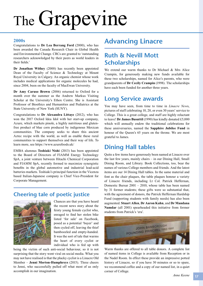# The Grapevine

#### **2000s**

Congratulations to **Dr Lea Berrang Ford** (2000), who has been awarded the Canada Research Chair in Global Health and Environmental Change. CRCs are granted to 'outstanding researchers acknowledged by their peers as world leaders in their fields.'

**Dr Jonathan Withey** (2000) has recently been appointed Dean of the Faculty of Science & Technology at Mount Royal University in Calgary. An organic chemist whose work includes medical applications for organic molecules he had, since 2004, been on the faculty of MacEwan University.

**Dr Amy Caruso Brown** (2006) returned to Oxford for a month over the summer as the Andrew Markus Visiting Scholar at the University's Ethox Centre. She is Assistant Professor of Bioethics and Humanities and Pediatrics at the State University of New York (SUNY).

Congratulations to **Dr Alexandra Littaye** (2012), who has won the 2017 Oxford Idea Idol with her start-up company, Azure, which markets pinole, a highly nutritious and glutenfree product of blue corn produced by indigenous Mexican communities. The company seeks to share this ancient Aztec recipe with the world, as well as enable these rural communities to support themselves and their way of life. To learn more, see https://www.azurefoods.uk/

EMBA alumnus **Toshiaki Nishi** (2013) has been appointed to the Board of Directors of FIAMM Energy Technology SpA, a joint venture between Hitachi Chemical Corporation and FIAMM SpA, recently formed to maximize synergistic benefits in the global automotive and industrial lead-acid batteries markets. Toshiaki's principal function in the Vicenza based Italian-Japanese company is Chief Vice-President for Corporate Management.

### **Cheering tale of poetic justice**



Chances are that you have heard the recent news story about the feisty young female cyclist who, enraged to find her stolen bike listed 'for sale' on Facebook, posed as a potential 'buyer' and then cycled off, leaving the thief bamboozled and empty-handed. It was the sort of tale that warms the heart of every cyclist or individual who is fed up with

being the victim of such anti-social behaviour, so it is not surprising that the story went viral on social media. What you may not have realised is that the plucky cyclist is a Linacre Old Member – **Jenni Morton-Humphreys** (2015). Three cheers to Jenni, who successfully pulled off what most of us only accomplish in our imagination.

# **Advancing Linacre**

## **Ruth & Nevill Mott Scholarships**

We extend our warm thanks to Dr Michael & Mrs Alice Crampin, for generously making new funds available for these two scholarships, named for Alice's parents, who were grandparents of **Dr Cecily Crampin** (1998). The scholarships have each been funded for another three years.

## **Long Service awards**

You may have seen, from time to time in *Linacre New*s, pictures of staff celebrating 10, 20, or even 30 years' service to College. This is a great college, and staff are highly reluctant to leave! **Dr James Busuttil** (1990) has kindly donated £5,000 which will annually endow the traditional celebrations for these anniversaries, named the **Sapphire Jubilee Fund** in honour of the Queen's 65 years on the throne. We are most grateful to James.

# **Dining Hall tables**

Quite a few items have generously been named at Linacre over the last few years, mainly chairs – in our Dining Hall, Small Dining Room, and Library. Book Collections, too, bear the names of various College members and friends. And the latest items are our 14 Dining Hall tables. In the same material and font as the chair plaques, the table plaques honour a variety of Linacre friends, including Lt Col. Patrick Heffernan, Domestic Bursar 2001 – 2010, whose table has been named by 31 former students; these gifts were so substantial that, with the agreement of donors, the Patrick Heffernan Hardship Fund (supporting students with family needs) has also been augmented. **Stuart Allen**, **Dr Aaron Kahn**, and **Dr Mandana Namdar** (all 2001) spearheaded this initiative from former students from Patrick's 'era'.



Warm thanks are offered to all table donors. A complete list of named items in College is available from Reception or in the Nadel Room. In effect these provide an impressive potted history of Linacre, so if you have 30 minutes or so to spare, we recommend coffee and a copy of our named list, in a quiet corner of College.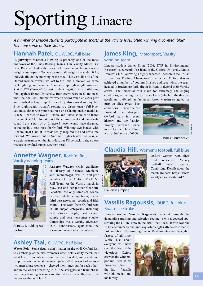# Sporting Linacre

*A number of Linacre students participate in sports at the Varsity level, often winning a coveted 'blue'. Here are some of their stories.*

#### **Hannah Patel, OUWLRC, full blue**

'**Lightweight Women's Rowing** is probably one of the most unknown of the Blues Rowing Teams. Our Varsity Match is a Boat Race at Henley the week before our more famous openweight counterparts. To race we must all weigh-in at under 59 kg individually on the morning of the race. This year, like all of the Oxford women rowers, we lost to the Tabs. However, we came back fighting, and won the Championship Lightweight Women's 8 at BUCS (Europe's largest student regatta), in a nail-biting final against Exeter University. Both crews were neck and neck until the final 500-400 metres when Oxford found an extra gear and finished a length up. This victory also earned me my full Blue. Lightweight women's rowing is a discretionary full blue: you must either win your boat race or a Championship medal at BUCS. I learned to row at Linacre and I have so much to thank Linacre Boat Club for. Without the commitment and passionate squad I am a part of at Linacre I never would have dreamed of racing in a boat race for Oxford. Winning two blades with Linacre Boat Club at Torpids really inspired me and drove me forward. We missed out on Summer Eights blades this year, in a tragic near-miss on the Saturday, but I'll be back to right those wrongs in my final bumps race next year!'

#### **Annette Wagner,** Rock 'n' Roll, Varsity winning team



Annette is holding her partner

**Annette Wagner** (MSc candidate in History of Science, Medicine and Technology) was a first-year member of the Oxford Rock 'n' Roll Team. At the Varsity match in May, she and her partner Charlotte Schofield, the only same-sex couple in the whole competition, came third best newcomer couple and fifth overall. The team from Oxford won in all major categories including best Varsity couple, best overall couple and best newcomer couple. Cambridge was a worthy adversary in all subdivisions apart from the formation, which was uncontested.

## **Ashley Tsai,** OUWPC, half blue

**Water Polo** 'Some details don't matter in the end! Oxford lost to Cambridge at the 2017 women's water polo Varsity match, but what I will remember is how the team bonded, improved, and supported each other at the match (when all three Oxford teams – two men's, one women's – cheered their lungs out for each other) and in the weeks preceding it. All the struggles and triumphs in the many training sessions we shared as a team: these are the memories that will last!'

#### **James King, Motorsport, Varsity** winning team

Linacre student James King (2016, DTP in Environmental Research) is currently President of the Oxford University Motor Drivers' Club. Following a highly successful season in the British Universities Karting Championship in which Oxford drivers achieved a number of podium finishes and race wins, the team headed to Buckmore Park circuit in Kent to defend their Varsity crown. The torrential rain made for extremely challenging conditions, as the high performance karts (which in the dry can accelerate to 60mph, as fast as an Aston Martin) struggled for

grip on slick tyres. The conditions nevertheless favoured the strongest Oxford team in recent history, and the Varsity Trophy returned once more to the Dark Blues with a final score of 62-39.



James is number 25

### **Claudia Hill,** Women's football, full blue



Oxford women won their third consecutive Varsity football match against Cambridge. Details about the match are here: https://www. varsity.co.uk/sport/12612

Claudia is jumping!

#### **Vassilis Ragoussis,** OUBC, full blue, Boat race stroke

Linacre student **Vassilis Ragoussis** made it through the demanding training and selection regime to win a coveted spot stroking the OUBC crew in the 2017 Boat Race. Oxford won the 163rd encounter by one-and-a-quarter lengths after a close race in fast condition. The winning time of 16.59 minutes was the eighth

fastest of all time. While just about everyone will have seen the photo of the victorious Oxford crew on the winners' podium, here is his favourite photo of the day – Vassilis with his medal, and his family.